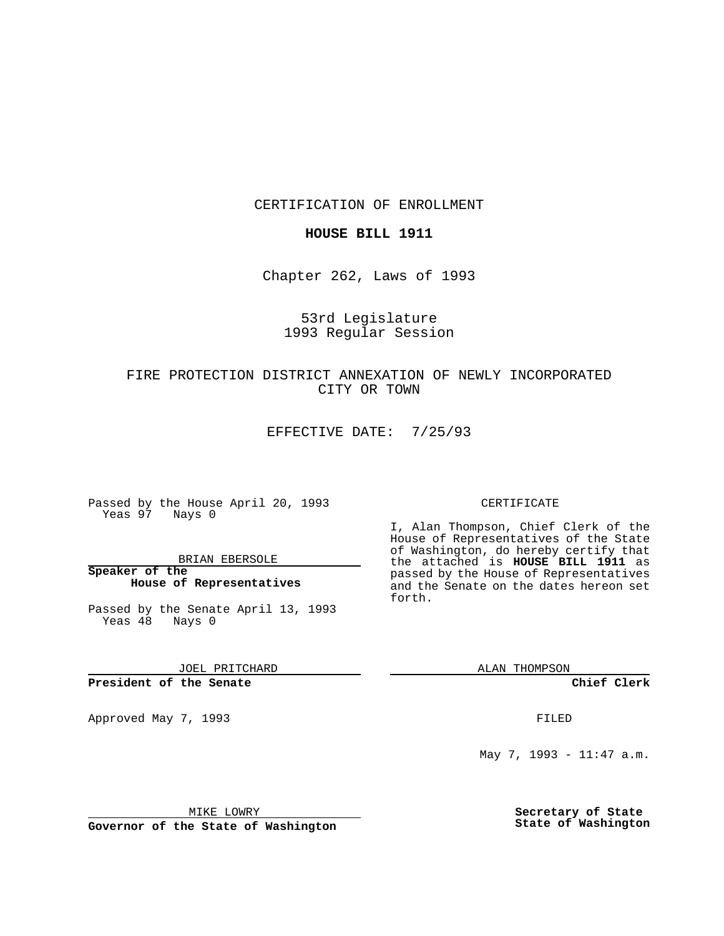CERTIFICATION OF ENROLLMENT

### **HOUSE BILL 1911**

Chapter 262, Laws of 1993

## 53rd Legislature 1993 Regular Session

# FIRE PROTECTION DISTRICT ANNEXATION OF NEWLY INCORPORATED CITY OR TOWN

EFFECTIVE DATE: 7/25/93

Passed by the House April 20, 1993 Yeas 97 Nays 0

BRIAN EBERSOLE

**Speaker of the House of Representatives**

Passed by the Senate April 13, 1993 Yeas 48 Nays 0

JOEL PRITCHARD

**President of the Senate**

Approved May 7, 1993 **FILED** 

#### CERTIFICATE

I, Alan Thompson, Chief Clerk of the House of Representatives of the State of Washington, do hereby certify that the attached is **HOUSE BILL 1911** as passed by the House of Representatives and the Senate on the dates hereon set forth.

ALAN THOMPSON

**Chief Clerk**

May 7, 1993 - 11:47 a.m.

MIKE LOWRY

**Governor of the State of Washington**

**Secretary of State State of Washington**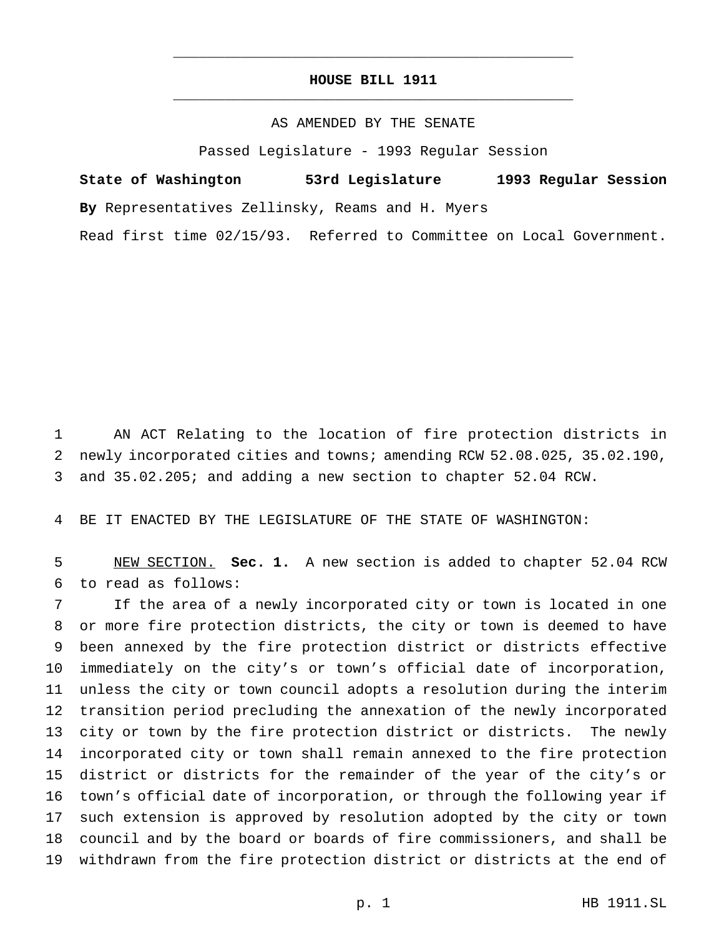## **HOUSE BILL 1911** \_\_\_\_\_\_\_\_\_\_\_\_\_\_\_\_\_\_\_\_\_\_\_\_\_\_\_\_\_\_\_\_\_\_\_\_\_\_\_\_\_\_\_\_\_\_\_

\_\_\_\_\_\_\_\_\_\_\_\_\_\_\_\_\_\_\_\_\_\_\_\_\_\_\_\_\_\_\_\_\_\_\_\_\_\_\_\_\_\_\_\_\_\_\_

### AS AMENDED BY THE SENATE

Passed Legislature - 1993 Regular Session

**State of Washington 53rd Legislature 1993 Regular Session By** Representatives Zellinsky, Reams and H. Myers

Read first time 02/15/93. Referred to Committee on Local Government.

 AN ACT Relating to the location of fire protection districts in newly incorporated cities and towns; amending RCW 52.08.025, 35.02.190, and 35.02.205; and adding a new section to chapter 52.04 RCW.

BE IT ENACTED BY THE LEGISLATURE OF THE STATE OF WASHINGTON:

 NEW SECTION. **Sec. 1.** A new section is added to chapter 52.04 RCW to read as follows:

 If the area of a newly incorporated city or town is located in one or more fire protection districts, the city or town is deemed to have been annexed by the fire protection district or districts effective immediately on the city's or town's official date of incorporation, unless the city or town council adopts a resolution during the interim transition period precluding the annexation of the newly incorporated city or town by the fire protection district or districts. The newly incorporated city or town shall remain annexed to the fire protection district or districts for the remainder of the year of the city's or town's official date of incorporation, or through the following year if such extension is approved by resolution adopted by the city or town council and by the board or boards of fire commissioners, and shall be withdrawn from the fire protection district or districts at the end of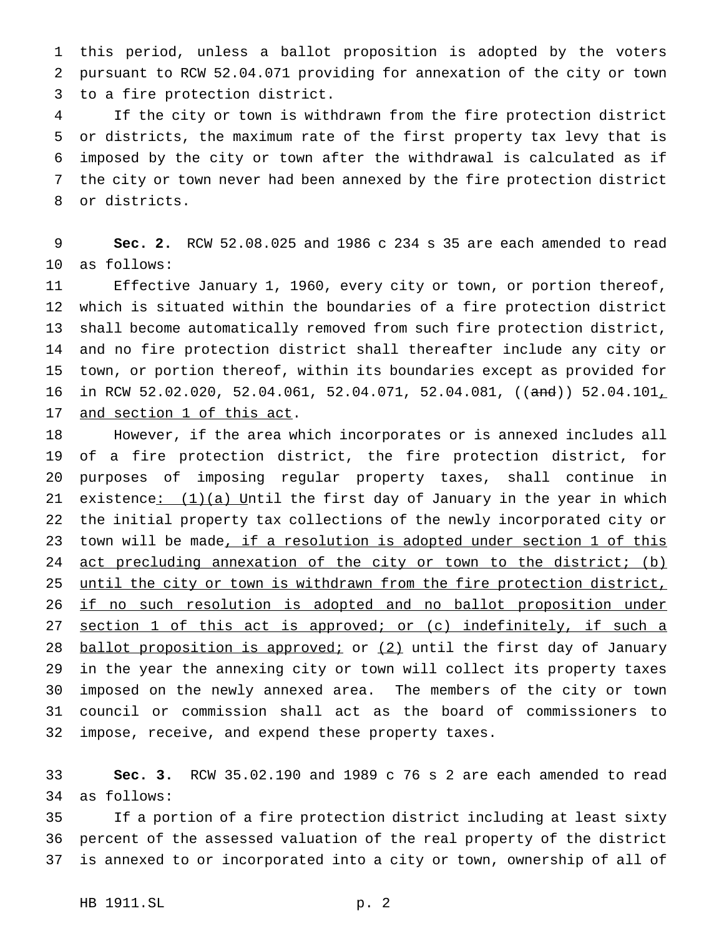this period, unless a ballot proposition is adopted by the voters pursuant to RCW 52.04.071 providing for annexation of the city or town to a fire protection district.

 If the city or town is withdrawn from the fire protection district or districts, the maximum rate of the first property tax levy that is imposed by the city or town after the withdrawal is calculated as if the city or town never had been annexed by the fire protection district or districts.

 **Sec. 2.** RCW 52.08.025 and 1986 c 234 s 35 are each amended to read as follows:

 Effective January 1, 1960, every city or town, or portion thereof, which is situated within the boundaries of a fire protection district shall become automatically removed from such fire protection district, and no fire protection district shall thereafter include any city or town, or portion thereof, within its boundaries except as provided for 16 in RCW 52.02.020, 52.04.061, 52.04.071, 52.04.081, ((and)) 52.04.101, and section 1 of this act.

 However, if the area which incorporates or is annexed includes all of a fire protection district, the fire protection district, for purposes of imposing regular property taxes, shall continue in 21 existence:  $(1)(a)$  Until the first day of January in the year in which the initial property tax collections of the newly incorporated city or 23 town will be made, if a resolution is adopted under section 1 of this 24 act precluding annexation of the city or town to the district; (b) until the city or town is withdrawn from the fire protection district, 26 if no such resolution is adopted and no ballot proposition under section 1 of this act is approved; or (c) indefinitely, if such a 28 ballot proposition is approved; or (2) until the first day of January in the year the annexing city or town will collect its property taxes imposed on the newly annexed area. The members of the city or town council or commission shall act as the board of commissioners to impose, receive, and expend these property taxes.

 **Sec. 3.** RCW 35.02.190 and 1989 c 76 s 2 are each amended to read as follows:

 If a portion of a fire protection district including at least sixty percent of the assessed valuation of the real property of the district is annexed to or incorporated into a city or town, ownership of all of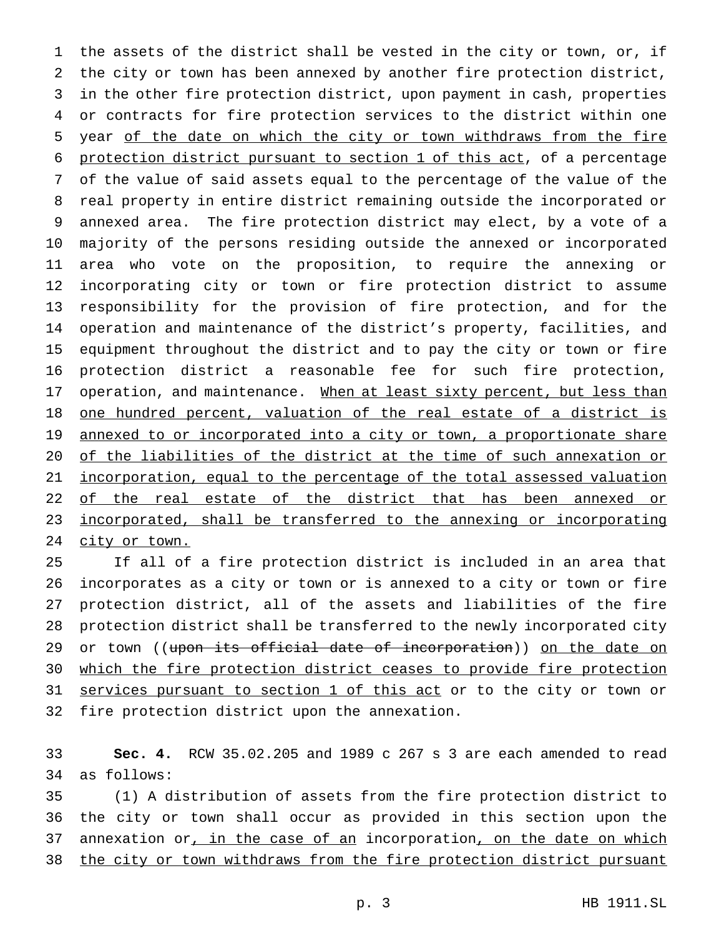the assets of the district shall be vested in the city or town, or, if the city or town has been annexed by another fire protection district, in the other fire protection district, upon payment in cash, properties or contracts for fire protection services to the district within one year of the date on which the city or town withdraws from the fire protection district pursuant to section 1 of this act, of a percentage of the value of said assets equal to the percentage of the value of the real property in entire district remaining outside the incorporated or annexed area. The fire protection district may elect, by a vote of a majority of the persons residing outside the annexed or incorporated area who vote on the proposition, to require the annexing or incorporating city or town or fire protection district to assume responsibility for the provision of fire protection, and for the operation and maintenance of the district's property, facilities, and equipment throughout the district and to pay the city or town or fire protection district a reasonable fee for such fire protection, 17 operation, and maintenance. When at least sixty percent, but less than 18 <u>one hundred percent, valuation of the real estate of a district is</u> 19 annexed to or incorporated into a city or town, a proportionate share of the liabilities of the district at the time of such annexation or incorporation, equal to the percentage of the total assessed valuation 22 of the real estate of the district that has been annexed or 23 incorporated, shall be transferred to the annexing or incorporating 24 city or town.

 If all of a fire protection district is included in an area that incorporates as a city or town or is annexed to a city or town or fire protection district, all of the assets and liabilities of the fire protection district shall be transferred to the newly incorporated city 29 or town ((upon its official date of incorporation)) on the date on which the fire protection district ceases to provide fire protection 31 services pursuant to section 1 of this act or to the city or town or fire protection district upon the annexation.

 **Sec. 4.** RCW 35.02.205 and 1989 c 267 s 3 are each amended to read as follows:

 (1) A distribution of assets from the fire protection district to the city or town shall occur as provided in this section upon the 37 annexation or, in the case of an incorporation, on the date on which 38 the city or town withdraws from the fire protection district pursuant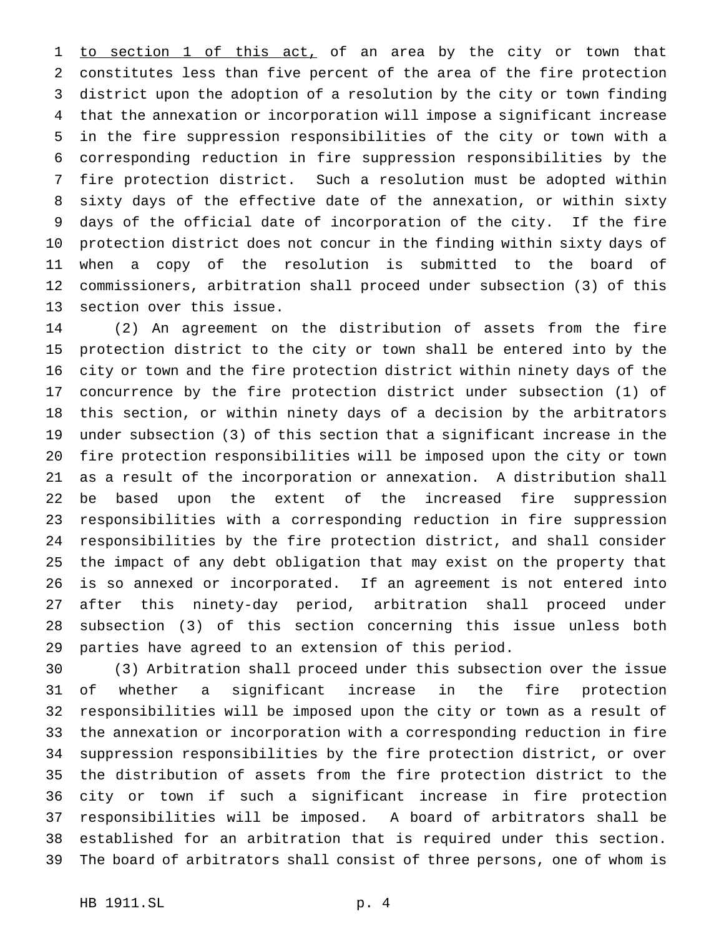1 to section 1 of this act, of an area by the city or town that constitutes less than five percent of the area of the fire protection district upon the adoption of a resolution by the city or town finding that the annexation or incorporation will impose a significant increase in the fire suppression responsibilities of the city or town with a corresponding reduction in fire suppression responsibilities by the fire protection district. Such a resolution must be adopted within sixty days of the effective date of the annexation, or within sixty days of the official date of incorporation of the city. If the fire protection district does not concur in the finding within sixty days of when a copy of the resolution is submitted to the board of commissioners, arbitration shall proceed under subsection (3) of this section over this issue.

 (2) An agreement on the distribution of assets from the fire protection district to the city or town shall be entered into by the city or town and the fire protection district within ninety days of the concurrence by the fire protection district under subsection (1) of this section, or within ninety days of a decision by the arbitrators under subsection (3) of this section that a significant increase in the fire protection responsibilities will be imposed upon the city or town as a result of the incorporation or annexation. A distribution shall be based upon the extent of the increased fire suppression responsibilities with a corresponding reduction in fire suppression responsibilities by the fire protection district, and shall consider the impact of any debt obligation that may exist on the property that is so annexed or incorporated. If an agreement is not entered into after this ninety-day period, arbitration shall proceed under subsection (3) of this section concerning this issue unless both parties have agreed to an extension of this period.

 (3) Arbitration shall proceed under this subsection over the issue of whether a significant increase in the fire protection responsibilities will be imposed upon the city or town as a result of the annexation or incorporation with a corresponding reduction in fire suppression responsibilities by the fire protection district, or over the distribution of assets from the fire protection district to the city or town if such a significant increase in fire protection responsibilities will be imposed. A board of arbitrators shall be established for an arbitration that is required under this section. The board of arbitrators shall consist of three persons, one of whom is